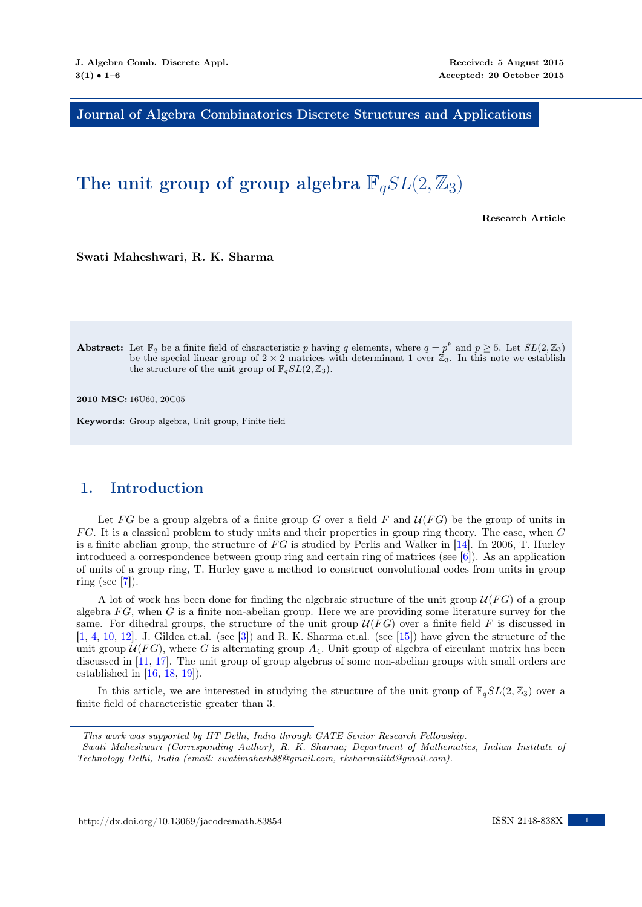Journal of Algebra Combinatorics Discrete Structures and Applications

# The unit group of group algebra  $\mathbb{F}_q SL(2,\mathbb{Z}_3)$

Research Article

Swati Maheshwari, R. K. Sharma

**Abstract:** Let  $\mathbb{F}_q$  be a finite field of characteristic p having q elements, where  $q = p^k$  and  $p \ge 5$ . Let  $SL(2, \mathbb{Z}_3)$ be the special linear group of  $2 \times 2$  matrices with determinant 1 over  $\mathbb{Z}_3$ . In this note we establish the structure of the unit group of  $\mathbb{F}_q SL(2, \mathbb{Z}_3)$ .

2010 MSC: 16U60, 20C05

Keywords: Group algebra, Unit group, Finite field

## 1. Introduction

Let FG be a group algebra of a finite group G over a field F and  $\mathcal{U}(FG)$  be the group of units in  $FG$ . It is a classical problem to study units and their properties in group ring theory. The case, when  $G$ is a finite abelian group, the structure of  $FG$  is studied by Perlis and Walker in [\[14\]](#page-4-0). In 2006, T. Hurley introduced a correspondence between group ring and certain ring of matrices (see [\[6\]](#page-4-1)). As an application of units of a group ring, T. Hurley gave a method to construct convolutional codes from units in group ring (see  $[7]$ ).

A lot of work has been done for finding the algebraic structure of the unit group  $\mathcal{U}(FG)$  of a group algebra  $FG$ , when G is a finite non-abelian group. Here we are providing some literature survey for the same. For dihedral groups, the structure of the unit group  $\mathcal{U}(FG)$  over a finite field F is discussed in  $[1, 4, 10, 12]$  $[1, 4, 10, 12]$  $[1, 4, 10, 12]$  $[1, 4, 10, 12]$  $[1, 4, 10, 12]$  $[1, 4, 10, 12]$  $[1, 4, 10, 12]$ . J. Gildea et.al. (see [\[3\]](#page-4-7)) and R. K. Sharma et.al. (see [\[15\]](#page-4-8)) have given the structure of the unit group  $\mathcal{U}(FG)$ , where G is alternating group  $A_4$ . Unit group of algebra of circulant matrix has been discussed in [\[11,](#page-4-9) [17\]](#page-4-10). The unit group of group algebras of some non-abelian groups with small orders are established in  $[16, 18, 19]$  $[16, 18, 19]$  $[16, 18, 19]$  $[16, 18, 19]$  $[16, 18, 19]$ .

In this article, we are interested in studying the structure of the unit group of  $\mathbb{F}_q SL(2, \mathbb{Z}_3)$  over a finite field of characteristic greater than 3.

This work was supported by IIT Delhi, India through GATE Senior Research Fellowship.

Swati Maheshwari (Corresponding Author), R. K. Sharma; Department of Mathematics, Indian Institute of Technology Delhi, India (email: swatimahesh88@gmail.com, rksharmaiitd@gmail.com).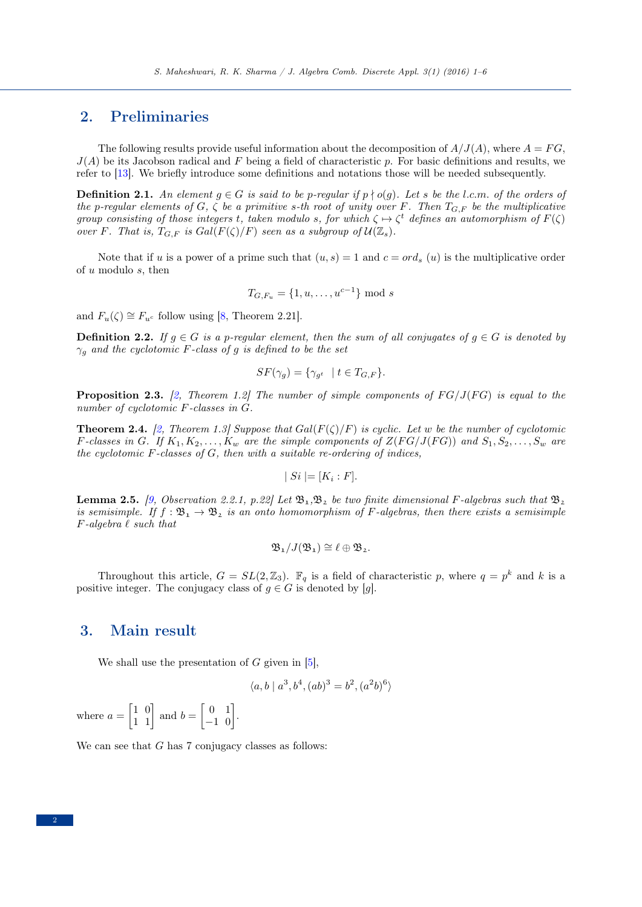### 2. Preliminaries

The following results provide useful information about the decomposition of  $A/J(A)$ , where  $A = FG$ .  $J(A)$  be its Jacobson radical and F being a field of characteristic p. For basic definitions and results, we refer to [\[13\]](#page-4-12). We briefly introduce some definitions and notations those will be needed subsequently.

**Definition 2.1.** An element  $g \in G$  is said to be p-regular if  $p \nmid o(g)$ . Let s be the l.c.m. of the orders of the p-regular elements of G,  $\zeta$  be a primitive s-th root of unity over F. Then  $T_{G,F}$  be the multiplicative group consisting of those integers t, taken modulo s, for which  $\zeta \mapsto \zeta^t$  defines an automorphism of  $F(\zeta)$ over F. That is,  $T_{G,F}$  is  $Gal(F(\zeta)/F)$  seen as a subgroup of  $\mathcal{U}(\mathbb{Z}_s)$ .

Note that if u is a power of a prime such that  $(u, s) = 1$  and  $c = ord_s(u)$  is the multiplicative order of u modulo s, then

$$
T_{G,F_u} = \{1, u, \dots, u^{c-1}\} \bmod s
$$

and  $F_u(\zeta) \cong F_{u^c}$  follow using [\[8,](#page-4-13) Theorem 2.21].

**Definition 2.2.** If  $g \in G$  is a p-regular element, then the sum of all conjugates of  $g \in G$  is denoted by  $\gamma_g$  and the cyclotomic F-class of g is defined to be the set

$$
SF(\gamma_g) = \{ \gamma_{g^t} \mid t \in T_{G,F} \}.
$$

<span id="page-1-1"></span>**Proposition 2.3.** [\[2,](#page-4-14) Theorem 1.2] The number of simple components of  $FG/J(FG)$  is equal to the number of cyclotomic F-classes in G.

<span id="page-1-2"></span>**Theorem 2.4.** [\[2,](#page-4-14) Theorem 1.3] Suppose that  $Gal(F(\zeta)/F)$  is cyclic. Let w be the number of cyclotomic F-classes in G. If  $K_1, K_2, \ldots, K_w$  are the simple components of  $Z(FG/J(FG))$  and  $S_1, S_2, \ldots, S_w$  are the cyclotomic  $F$ -classes of  $G$ , then with a suitable re-ordering of indices,

$$
| Si |= [K_i : F].
$$

<span id="page-1-0"></span>**Lemma 2.5.** [\[9,](#page-4-15) Observation 2.2.1, p.22] Let  $\mathfrak{B}_1, \mathfrak{B}_2$  be two finite dimensional F-algebras such that  $\mathfrak{B}_2$ is semisimple. If  $f : \mathfrak{B}_1 \to \mathfrak{B}_2$  is an onto homomorphism of F-algebras, then there exists a semisimple  $F\text{-}algebra \ell such that$ 

$$
\mathfrak{B}_{1}/J(\mathfrak{B}_{1})\cong \ell\oplus \mathfrak{B}_{2}.
$$

Throughout this article,  $G = SL(2, \mathbb{Z}_3)$ .  $\mathbb{F}_q$  is a field of characteristic p, where  $q = p^k$  and k is a positive integer. The conjugacy class of  $g \in G$  is denoted by [g].

#### 3. Main result

We shall use the presentation of  $G$  given in  $[5]$ ,

$$
\langle a, b \mid a^3, b^4, (ab)^3 = b^2, (a^2b)^6 \rangle
$$

where  $a = \begin{bmatrix} 1 & 0 \\ 1 & 1 \end{bmatrix}$  and  $b = \begin{bmatrix} 0 & 1 \\ -1 & 0 \end{bmatrix}$ .

We can see that  $G$  has  $7$  conjugacy classes as follows: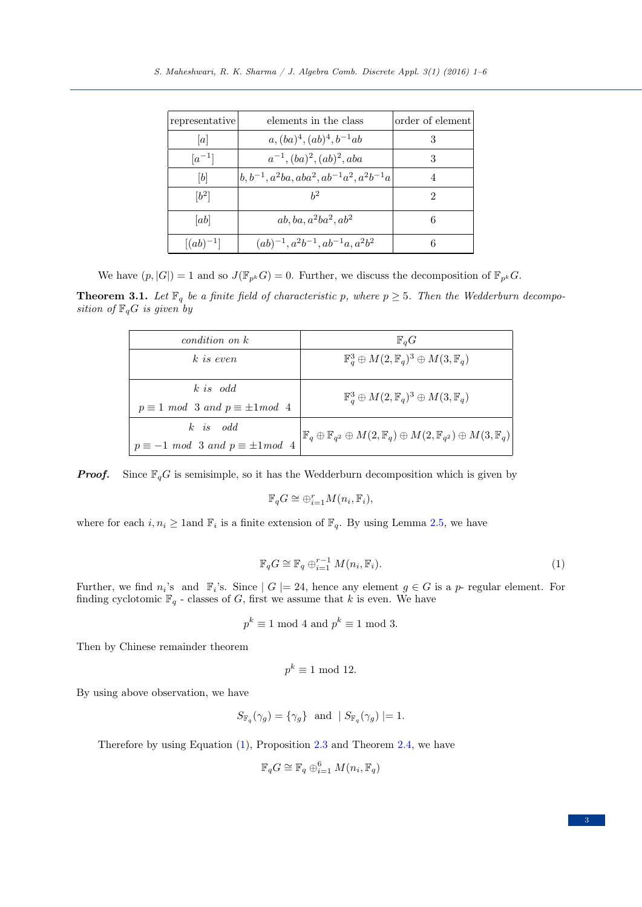| representative | elements in the class                                            | order of element |
|----------------|------------------------------------------------------------------|------------------|
| a              | $a, (ba)^4, (ab)^4, b^{-1}ab$                                    | 3                |
| $[a^{-1}]$     | $a^{-1}$ , $(ba)^2$ , $(ab)^2$ , $aba$                           | 3                |
| b              | $\left  b, b^{-1}, a^2ba, aba^2, ab^{-1}a^2, a^2b^{-1}a \right $ |                  |
| $[b^2]$        | $h^2$                                                            | 2                |
| [ab]           | $ab, ba, a^2ba^2, ab^2$                                          | 6                |
| $[(ab)^{-1}]$  | $(ab)^{-1}, a^2b^{-1}, ab^{-1}a, a^2b^2$                         |                  |

We have  $(p, |G|) = 1$  and so  $J(\mathbb{F}_{p^k}G) = 0$ . Further, we discuss the decomposition of  $\mathbb{F}_{p^k}G$ .

**Theorem 3.1.** Let  $\mathbb{F}_q$  be a finite field of characteristic p, where  $p \geq 5$ . Then the Wedderburn decomposition of  $\mathbb{F}_qG$  is given by

| $condition\ on\ k$                                 | $\mathbb{F}_q G$                                                                                                                 |  |
|----------------------------------------------------|----------------------------------------------------------------------------------------------------------------------------------|--|
| $k$ is even                                        | $\mathbb{F}_q^3 \oplus M(2, \mathbb{F}_q)^3 \oplus M(3, \mathbb{F}_q)$                                                           |  |
| $k$ is odd                                         | $\mathbb{F}_q^3 \oplus M(2, \mathbb{F}_q)^3 \oplus M(3, \mathbb{F}_q)$                                                           |  |
| $p \equiv 1 \mod 3$ and $p \equiv \pm 1 \mod 4$    |                                                                                                                                  |  |
| $k$ is odd                                         | $\big \mathbb{F}_{q}\oplus\mathbb{F}_{q^2}\oplus M(2,\mathbb{F}_{q})\oplus M(2,\mathbb{F}_{q^2})\oplus M(3,\mathbb{F}_{q})\big $ |  |
| $p \equiv -1 \mod{3}$ and $p \equiv \pm 1 \mod{4}$ |                                                                                                                                  |  |

**Proof.** Since  $\mathbb{F}_q G$  is semisimple, so it has the Wedderburn decomposition which is given by

$$
\mathbb{F}_q G \cong \bigoplus_{i=1}^r M(n_i, \mathbb{F}_i),
$$

where for each  $i, n_i \geq 1$  and  $\mathbb{F}_i$  is a finite extension of  $\mathbb{F}_q$ . By using Lemma [2.5,](#page-1-0) we have

<span id="page-2-0"></span>
$$
\mathbb{F}_q G \cong \mathbb{F}_q \oplus_{i=1}^{r-1} M(n_i, \mathbb{F}_i). \tag{1}
$$

Further, we find  $n_i$ 's and  $\mathbb{F}_i$ 's. Since  $|G| = 24$ , hence any element  $g \in G$  is a p- regular element. For finding cyclotomic  $\mathbb{F}_q$  - classes of  $G,$  first we assume that  $k$  is even. We have

$$
p^k \equiv 1 \mod 4
$$
 and  $p^k \equiv 1 \mod 3$ .

Then by Chinese remainder theorem

$$
p^k \equiv 1 \mod 12.
$$

By using above observation, we have

$$
S_{\mathbb{F}_q}(\gamma_g) = \{\gamma_g\} \text{ and } |S_{\mathbb{F}_q}(\gamma_g)| = 1.
$$

Therefore by using Equation [\(1\)](#page-2-0), Proposition [2.3](#page-1-1) and Theorem [2.4,](#page-1-2) we have

$$
\mathbb{F}_q G \cong \mathbb{F}_q \oplus_{i=1}^6 M(n_i, \mathbb{F}_q)
$$

3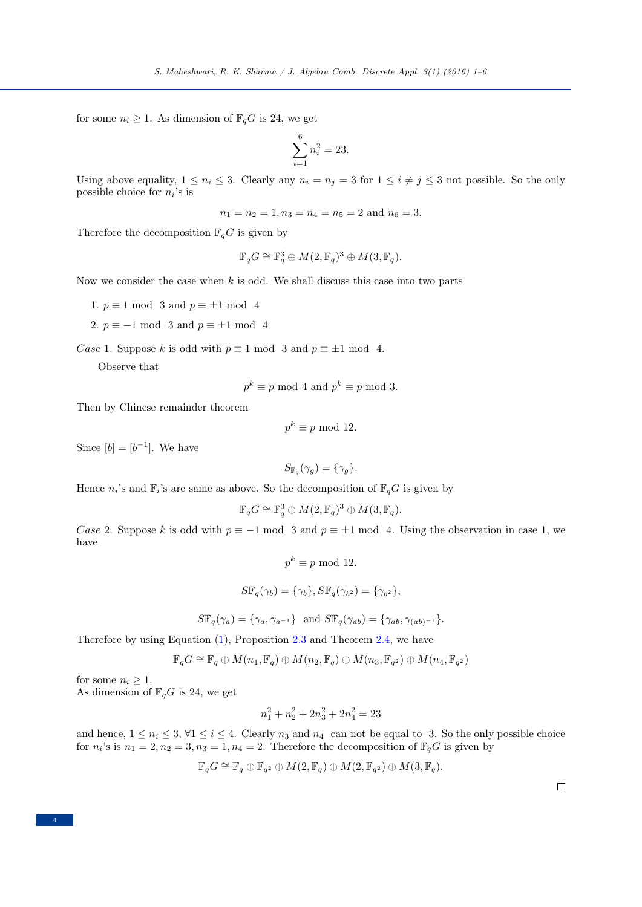for some  $n_i \geq 1$ . As dimension of  $\mathbb{F}_qG$  is 24, we get

$$
\sum_{i=1}^{6} n_i^2 = 23.
$$

Using above equality,  $1 \leq n_i \leq 3$ . Clearly any  $n_i = n_j = 3$  for  $1 \leq i \neq j \leq 3$  not possible. So the only possible choice for  $n_i$ 's is

$$
n_1 = n_2 = 1, n_3 = n_4 = n_5 = 2
$$
 and  $n_6 = 3$ .

Therefore the decomposition  $\mathbb{F}_qG$  is given by

$$
\mathbb{F}_q G \cong \mathbb{F}_q^3 \oplus M(2, \mathbb{F}_q)^3 \oplus M(3, \mathbb{F}_q).
$$

Now we consider the case when  $k$  is odd. We shall discuss this case into two parts

1.  $p \equiv 1 \mod 3$  and  $p \equiv \pm 1 \mod 4$ 

2.  $p \equiv -1 \mod 3$  and  $p \equiv \pm 1 \mod 4$ 

Case 1. Suppose k is odd with  $p \equiv 1 \mod 3$  and  $p \equiv \pm 1 \mod 4$ .

Observe that

$$
p^k \equiv p \mod 4 \text{ and } p^k \equiv p \mod 3.
$$

Then by Chinese remainder theorem

 $p^k \equiv p \mod 12$ .

Since  $[b] = [b^{-1}]$ . We have

$$
S_{\mathbb{F}_q}(\gamma_g) = \{\gamma_g\}.
$$

Hence  $n_i$ 's and  $\mathbb{F}_i$ 's are same as above. So the decomposition of  $\mathbb{F}_qG$  is given by

$$
\mathbb{F}_q G \cong \mathbb{F}_q^3 \oplus M(2, \mathbb{F}_q)^3 \oplus M(3, \mathbb{F}_q).
$$

Case 2. Suppose k is odd with  $p \equiv -1 \mod 3$  and  $p \equiv \pm 1 \mod 4$ . Using the observation in case 1, we have

$$
p^k \equiv p \mod 12.
$$
  

$$
S\mathbb{F}_q(\gamma_b) = {\gamma_b}, S\mathbb{F}_q(\gamma_{b^2}) = {\gamma_{b^2}},
$$

$$
S\mathbb{F}_q(\gamma_a) = \{\gamma_a, \gamma_{a^{-1}}\} \text{ and } S\mathbb{F}_q(\gamma_{ab}) = \{\gamma_{ab}, \gamma_{(ab)^{-1}}\}.
$$

Therefore by using Equation [\(1\)](#page-2-0), Proposition [2.3](#page-1-1) and Theorem [2.4,](#page-1-2) we have

$$
\mathbb{F}_q G \cong \mathbb{F}_q \oplus M(n_1, \mathbb{F}_q) \oplus M(n_2, \mathbb{F}_q) \oplus M(n_3, \mathbb{F}_{q^2}) \oplus M(n_4, \mathbb{F}_{q^2})
$$

for some  $n_i \geq 1$ . As dimension of  $\mathbb{F}_qG$  is 24, we get

$$
n_1^2 + n_2^2 + 2n_3^2 + 2n_4^2 = 23
$$

and hence,  $1 \leq n_i \leq 3$ ,  $\forall 1 \leq i \leq 4$ . Clearly  $n_3$  and  $n_4$  can not be equal to 3. So the only possible choice for  $n_i$ 's is  $n_1 = 2, n_2 = 3, n_3 = 1, n_4 = 2$ . Therefore the decomposition of  $\mathbb{F}_qG$  is given by

$$
\mathbb{F}_q G \cong \mathbb{F}_q \oplus \mathbb{F}_{q^2} \oplus M(2, \mathbb{F}_q) \oplus M(2, \mathbb{F}_{q^2}) \oplus M(3, \mathbb{F}_q).
$$

 $\Box$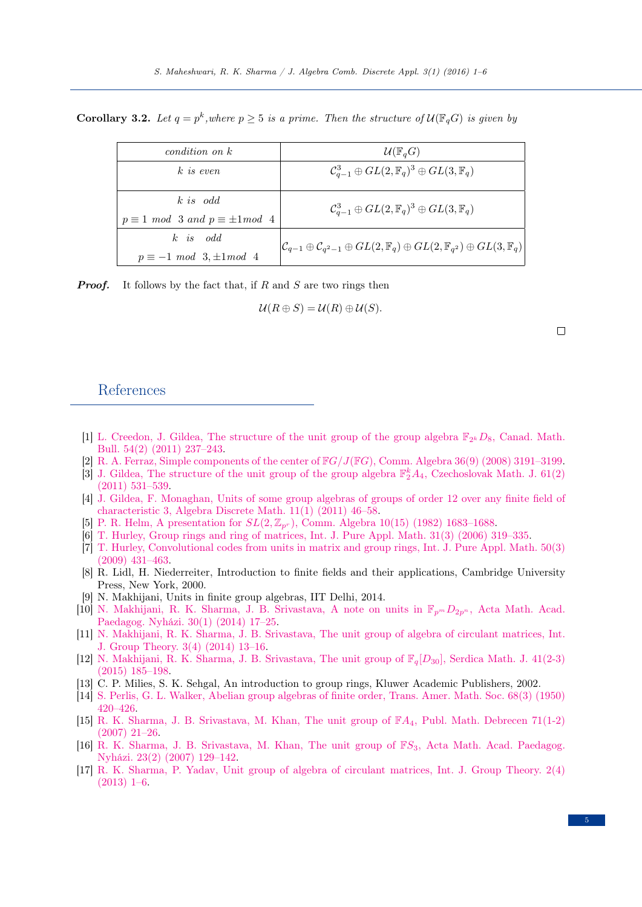**Corollary 3.2.** Let  $q = p^k$ , where  $p \geq 5$  is a prime. Then the structure of  $\mathcal{U}(\mathbb{F}_q G)$  is given by

| $condition\ on\ k$                              | $\mathcal{U}(\mathbb{F}_qG)$                                                                                                                       |  |
|-------------------------------------------------|----------------------------------------------------------------------------------------------------------------------------------------------------|--|
| $k$ is even                                     | $\mathcal{C}_{q-1}^3 \oplus GL(2, \mathbb{F}_q)^3 \oplus GL(3, \mathbb{F}_q)$                                                                      |  |
| $k$ is odd                                      | $\mathcal{C}_{q-1}^3 \oplus GL(2, \mathbb{F}_q)^3 \oplus GL(3, \mathbb{F}_q)$                                                                      |  |
| $p \equiv 1 \mod 3$ and $p \equiv \pm 1 \mod 4$ |                                                                                                                                                    |  |
| $k$ is odd                                      | $\left  \mathcal{C}_{q-1} \oplus \mathcal{C}_{q^2-1} \oplus GL(2, \mathbb{F}_q) \oplus GL(2, \mathbb{F}_{q^2}) \oplus GL(3, \mathbb{F}_q) \right $ |  |
| $p \equiv -1 \mod 3, \pm 1 \mod 4$              |                                                                                                                                                    |  |

**Proof.** It follows by the fact that, if  $R$  and  $S$  are two rings then

$$
\mathcal{U}(R \oplus S) = \mathcal{U}(R) \oplus \mathcal{U}(S).
$$

 $\Box$ 

#### References

- <span id="page-4-3"></span>[1] [L. Creedon, J. Gildea, The structure of the unit group of the group algebra](http://dx.doi.org/10.4153/CMB-2010-098-5)  $\mathbb{F}_{2^k}D_8$ , Canad. Math. [Bull. 54\(2\) \(2011\) 237–243.](http://dx.doi.org/10.4153/CMB-2010-098-5)
- <span id="page-4-14"></span>[2] [R. A. Ferraz, Simple components of the center of](http://dx.doi.org/10.1080/00927870802103503)  $\mathbb{F}G/J(\mathbb{F}G)$ , Comm. Algebra 36(9) (2008) 3191–3199.
- <span id="page-4-7"></span>[3] [J. Gildea, The structure of the unit group of the group algebra](http://dx.doi.org/10.1007/s10587-011-0071-5)  $\mathbb{F}_2^k A_4$ , Czechoslovak Math. J. 61(2) [\(2011\) 531–539.](http://dx.doi.org/10.1007/s10587-011-0071-5)
- <span id="page-4-4"></span>[4] [J. Gildea, F. Monaghan, Units of some group algebras of groups of order 12 over any finite field of](http://www.ams.org/mathscinet-getitem?mr=2868359) [characteristic 3, Algebra Discrete Math. 11\(1\) \(2011\) 46–58.](http://www.ams.org/mathscinet-getitem?mr=2868359)
- <span id="page-4-16"></span>[5] P. R. Helm, A presentation for  $SL(2, \mathbb{Z}_{p^r})$ , Comm. Algebra 10(15) (1982) 1683-1688.
- <span id="page-4-1"></span>[6] [T. Hurley, Group rings and ring of matrices, Int. J. Pure Appl. Math. 31\(3\) \(2006\) 319–335.](http://www.ams.org/mathscinet-getitem?mr=2266951)
- <span id="page-4-2"></span>[7] [T. Hurley, Convolutional codes from units in matrix and group rings, Int. J. Pure Appl. Math. 50\(3\)](http://www.ams.org/mathscinet-getitem?mr=2490664) [\(2009\) 431–463.](http://www.ams.org/mathscinet-getitem?mr=2490664)
- <span id="page-4-13"></span>[8] R. Lidl, H. Niederreiter, Introduction to finite fields and their applications, Cambridge University Press, New York, 2000.
- <span id="page-4-15"></span>[9] N. Makhijani, Units in finite group algebras, IIT Delhi, 2014.
- <span id="page-4-5"></span>[10] [N. Makhijani, R. K. Sharma, J. B. Srivastava, A note on units in](http://www.ams.org/mathscinet-getitem?mr=3285078)  $\mathbb{F}_{p^m}D_{2p^n}$ , Acta Math. Acad. [Paedagog. Nyházi. 30\(1\) \(2014\) 17–25.](http://www.ams.org/mathscinet-getitem?mr=3285078)
- <span id="page-4-9"></span>[11] [N. Makhijani, R. K. Sharma, J. B. Srivastava, The unit group of algebra of circulant matrices, Int.](http://www.ams.org/mathscinet-getitem?mr=3181770) [J. Group Theory. 3\(4\) \(2014\) 13–16.](http://www.ams.org/mathscinet-getitem?mr=3181770)
- <span id="page-4-6"></span>[12] [N. Makhijani, R. K. Sharma, J. B. Srivastava, The unit group of](http://www.ams.org/mathscinet-getitem?mr=3363601)  $\mathbb{F}_q[D_{30}]$ , Serdica Math. J. 41(2-3) [\(2015\) 185–198.](http://www.ams.org/mathscinet-getitem?mr=3363601)
- <span id="page-4-12"></span>[13] C. P. Milies, S. K. Sehgal, An introduction to group rings, Kluwer Academic Publishers, 2002.
- <span id="page-4-0"></span>[14] [S. Perlis, G. L. Walker, Abelian group algebras of finite order, Trans. Amer. Math. Soc. 68\(3\) \(1950\)](http://dx.doi.org/10.2307/1990406) [420–426.](http://dx.doi.org/10.2307/1990406)
- <span id="page-4-8"></span>[15] [R. K. Sharma, J. B. Srivastava, M. Khan, The unit group of](http://www.ams.org/mathscinet-getitem?mr=2340031) FA4, Publ. Math. Debrecen 71(1-2) [\(2007\) 21–26.](http://www.ams.org/mathscinet-getitem?mr=2340031)
- <span id="page-4-11"></span>[16] [R. K. Sharma, J. B. Srivastava, M. Khan, The unit group of](http://www.ams.org/mathscinet-getitem?mr=2368934) FS3, Acta Math. Acad. Paedagog. [Nyházi. 23\(2\) \(2007\) 129–142.](http://www.ams.org/mathscinet-getitem?mr=2368934)
- <span id="page-4-10"></span>[17] [R. K. Sharma, P. Yadav, Unit group of algebra of circulant matrices, Int. J. Group Theory. 2\(4\)](http://www.ams.org/mathscinet-getitem?mr=3053357) [\(2013\) 1–6.](http://www.ams.org/mathscinet-getitem?mr=3053357)